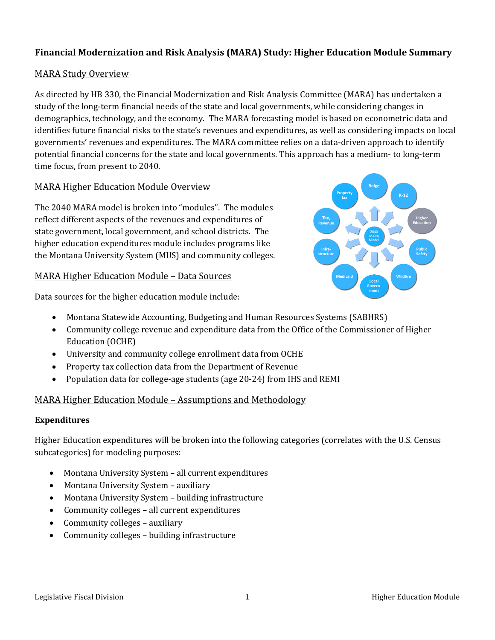# **Financial Modernization and Risk Analysis (MARA) Study: Higher Education Module Summary**

# MARA Study Overview

As directed by HB 330, the Financial Modernization and Risk Analysis Committee (MARA) has undertaken a study of the long-term financial needs of the state and local governments, while considering changes in demographics, technology, and the economy. The MARA forecasting model is based on econometric data and identifies future financial risks to the state's revenues and expenditures, as well as considering impacts on local governments' revenues and expenditures. The MARA committee relies on a data-driven approach to identify potential financial concerns for the state and local governments. This approach has a medium- to long-term time focus, from present to 2040.

# MARA Higher Education Module Overview

The 2040 MARA model is broken into "modules". The modules reflect different aspects of the revenues and expenditures of state government, local government, and school districts. The higher education expenditures module includes programs like the Montana University System (MUS) and community colleges.

# MARA Higher Education Module – Data Sources

Data sources for the higher education module include:



- Montana Statewide Accounting, Budgeting and Human Resources Systems (SABHRS)
- Community college revenue and expenditure data from the Office of the Commissioner of Higher Education (OCHE)
- University and community college enrollment data from OCHE
- Property tax collection data from the Department of Revenue
- Population data for college-age students (age 20-24) from IHS and REMI

# MARA Higher Education Module – Assumptions and Methodology

### **Expenditures**

Higher Education expenditures will be broken into the following categories (correlates with the U.S. Census subcategories) for modeling purposes:

- Montana University System all current expenditures
- Montana University System auxiliary
- Montana University System building infrastructure
- Community colleges all current expenditures
- Community colleges auxiliary
- Community colleges building infrastructure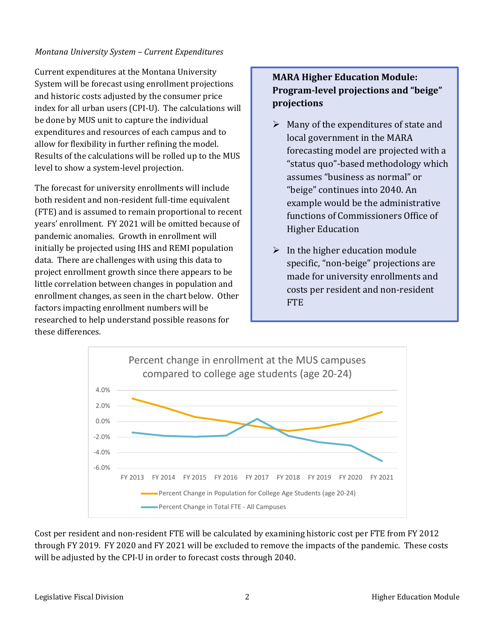### *Montana University System – Current Expenditures*

Current expenditures at the Montana University System will be forecast using enrollment projections and historic costs adjusted by the consumer price index for all urban users (CPI-U). The calculations will be done by MUS unit to capture the individual expenditures and resources of each campus and to allow for flexibility in further refining the model. Results of the calculations will be rolled up to the MUS level to show a system-level projection.

The forecast for university enrollments will include both resident and non-resident full-time equivalent (FTE) and is assumed to remain proportional to recent years' enrollment. FY 2021 will be omitted because of pandemic anomalies. Growth in enrollment will initially be projected using IHS and REMI population data. There are challenges with using this data to project enrollment growth since there appears to be little correlation between changes in population and enrollment changes, as seen in the chart below. Other factors impacting enrollment numbers will be researched to help understand possible reasons for these differences.

# **MARA Higher Education Module: Program-level projections and "beige" projections**

- $\triangleright$  Many of the expenditures of state and local government in the MARA forecasting model are projected with a "status quo"-based methodology which assumes "business as normal" or "beige" continues into 2040. An example would be the administrative functions of Commissioners Office of Higher Education
- $\triangleright$  In the higher education module specific, "non-beige" projections are made for university enrollments and costs per resident and non-resident **FTE**



Cost per resident and non-resident FTE will be calculated by examining historic cost per FTE from FY 2012 through FY 2019. FY 2020 and FY 2021 will be excluded to remove the impacts of the pandemic. These costs will be adjusted by the CPI-U in order to forecast costs through 2040.